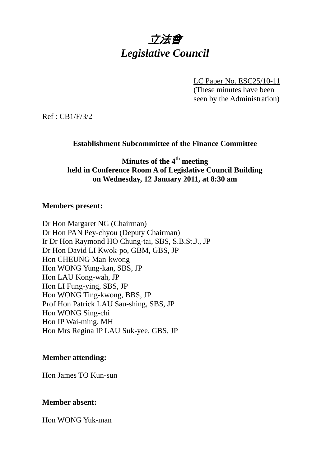

LC Paper No. ESC25/10-11 (These minutes have been seen by the Administration)

Ref : CB1/F/3/2

# **Establishment Subcommittee of the Finance Committee**

**Minutes of the 4th meeting held in Conference Room A of Legislative Council Building on Wednesday, 12 January 2011, at 8:30 am** 

### **Members present:**

Dr Hon Margaret NG (Chairman) Dr Hon PAN Pey-chyou (Deputy Chairman) Ir Dr Hon Raymond HO Chung-tai, SBS, S.B.St.J., JP Dr Hon David LI Kwok-po, GBM, GBS, JP Hon CHEUNG Man-kwong Hon WONG Yung-kan, SBS, JP Hon LAU Kong-wah, JP Hon LI Fung-ying, SBS, JP Hon WONG Ting-kwong, BBS, JP Prof Hon Patrick LAU Sau-shing, SBS, JP Hon WONG Sing-chi Hon IP Wai-ming, MH Hon Mrs Regina IP LAU Suk-yee, GBS, JP

## **Member attending:**

Hon James TO Kun-sun

## **Member absent:**

Hon WONG Yuk-man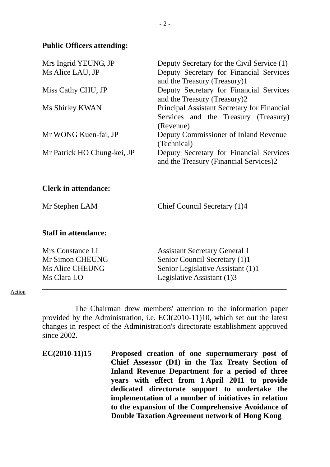### **Public Officers attending:**

| Mrs Ingrid YEUNG, JP        | Deputy Secretary for the Civil Service (1)  |
|-----------------------------|---------------------------------------------|
| Ms Alice LAU, JP            | Deputy Secretary for Financial Services     |
|                             | and the Treasury (Treasury)1                |
| Miss Cathy CHU, JP          | Deputy Secretary for Financial Services     |
|                             | and the Treasury (Treasury)2                |
| Ms Shirley KWAN             | Principal Assistant Secretary for Financial |
|                             | Services and the Treasury (Treasury)        |
|                             | (Revenue)                                   |
| Mr WONG Kuen-fai, JP        | Deputy Commissioner of Inland Revenue       |
|                             | (Technical)                                 |
| Mr Patrick HO Chung-kei, JP | Deputy Secretary for Financial Services     |
|                             | and the Treasury (Financial Services)2      |

## **Clerk in attendance:**

Mr Stephen LAM Chief Council Secretary (1)4

### **Staff in attendance:**

| Mrs Constance LI | <b>Assistant Secretary General 1</b> |
|------------------|--------------------------------------|
| Mr Simon CHEUNG  | Senior Council Secretary (1)1        |
| Ms Alice CHEUNG  | Senior Legislative Assistant (1)1    |
| Ms Clara LO      | Legislative Assistant (1)3           |
|                  |                                      |

#### Action

 The Chairman drew members' attention to the information paper provided by the Administration, i.e. ECI(2010-11)10, which set out the latest changes in respect of the Administration's directorate establishment approved since 2002.

**EC(2010-11)15 Proposed creation of one supernumerary post of Chief Assessor (D1) in the Tax Treaty Section of Inland Revenue Department for a period of three years with effect from 1 April 2011 to provide dedicated directorate support to undertake the implementation of a number of initiatives in relation to the expansion of the Comprehensive Avoidance of Double Taxation Agreement network of Hong Kong**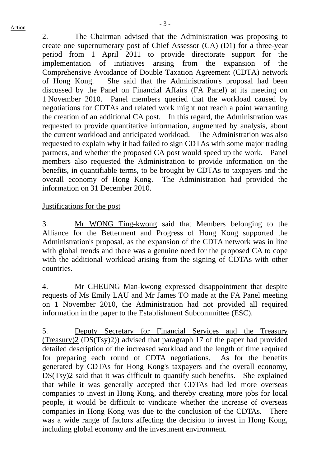2. The Chairman advised that the Administration was proposing to create one supernumerary post of Chief Assessor (CA) (D1) for a three-year period from 1 April 2011 to provide directorate support for the implementation of initiatives arising from the expansion of the Comprehensive Avoidance of Double Taxation Agreement (CDTA) network of Hong Kong. She said that the Administration's proposal had been discussed by the Panel on Financial Affairs (FA Panel) at its meeting on 1 November 2010. Panel members queried that the workload caused by negotiations for CDTAs and related work might not reach a point warranting the creation of an additional CA post. In this regard, the Administration was requested to provide quantitative information, augmented by analysis, about the current workload and anticipated workload. The Administration was also requested to explain why it had failed to sign CDTAs with some major trading partners, and whether the proposed CA post would speed up the work. Panel members also requested the Administration to provide information on the benefits, in quantifiable terms, to be brought by CDTAs to taxpayers and the overall economy of Hong Kong. The Administration had provided the information on 31 December 2010.

# Justifications for the post

3. Mr WONG Ting-kwong said that Members belonging to the Alliance for the Betterment and Progress of Hong Kong supported the Administration's proposal, as the expansion of the CDTA network was in line with global trends and there was a genuine need for the proposed CA to cope with the additional workload arising from the signing of CDTAs with other countries.

4. Mr CHEUNG Man-kwong expressed disappointment that despite requests of Ms Emily LAU and Mr James TO made at the FA Panel meeting on 1 November 2010, the Administration had not provided all required information in the paper to the Establishment Subcommittee (ESC).

5. Deputy Secretary for Financial Services and the Treasury (Treasury)2 (DS(Tsy)2)) advised that paragraph 17 of the paper had provided detailed description of the increased workload and the length of time required for preparing each round of CDTA negotiations. As for the benefits generated by CDTAs for Hong Kong's taxpayers and the overall economy, DS(Tsy)2 said that it was difficult to quantify such benefits. She explained that while it was generally accepted that CDTAs had led more overseas companies to invest in Hong Kong, and thereby creating more jobs for local people, it would be difficult to vindicate whether the increase of overseas companies in Hong Kong was due to the conclusion of the CDTAs. There was a wide range of factors affecting the decision to invest in Hong Kong, including global economy and the investment environment.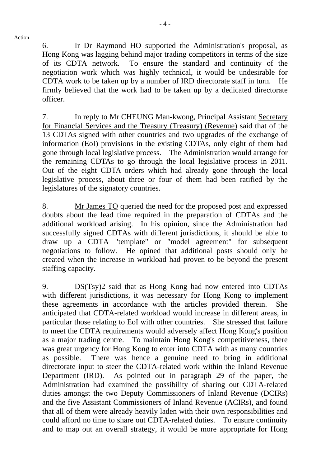Action

6. Ir Dr Raymond HO supported the Administration's proposal, as Hong Kong was lagging behind major trading competitors in terms of the size of its CDTA network. To ensure the standard and continuity of the negotiation work which was highly technical, it would be undesirable for CDTA work to be taken up by a number of IRD directorate staff in turn. He firmly believed that the work had to be taken up by a dedicated directorate officer.

7. In reply to Mr CHEUNG Man-kwong, Principal Assistant Secretary for Financial Services and the Treasury (Treasury) (Revenue) said that of the 13 CDTAs signed with other countries and two upgrades of the exchange of information (EoI) provisions in the existing CDTAs, only eight of them had gone through local legislative process. The Administration would arrange for the remaining CDTAs to go through the local legislative process in 2011. Out of the eight CDTA orders which had already gone through the local legislative process, about three or four of them had been ratified by the legislatures of the signatory countries.

8. Mr James TO queried the need for the proposed post and expressed doubts about the lead time required in the preparation of CDTAs and the additional workload arising. In his opinion, since the Administration had successfully signed CDTAs with different jurisdictions, it should be able to draw up a CDTA "template" or "model agreement" for subsequent negotiations to follow. He opined that additional posts should only be created when the increase in workload had proven to be beyond the present staffing capacity.

9. DS(Tsy)2 said that as Hong Kong had now entered into CDTAs with different jurisdictions, it was necessary for Hong Kong to implement these agreements in accordance with the articles provided therein. She anticipated that CDTA-related workload would increase in different areas, in particular those relating to EoI with other countries. She stressed that failure to meet the CDTA requirements would adversely affect Hong Kong's position as a major trading centre. To maintain Hong Kong's competitiveness, there was great urgency for Hong Kong to enter into CDTA with as many countries as possible. There was hence a genuine need to bring in additional directorate input to steer the CDTA-related work within the Inland Revenue Department (IRD). As pointed out in paragraph 29 of the paper, the Administration had examined the possibility of sharing out CDTA-related duties amongst the two Deputy Commissioners of Inland Revenue (DCIRs) and the five Assistant Commissioners of Inland Revenue (ACIRs), and found that all of them were already heavily laden with their own responsibilities and could afford no time to share out CDTA-related duties. To ensure continuity and to map out an overall strategy, it would be more appropriate for Hong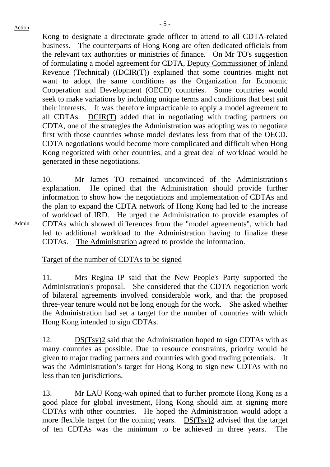Admin

Kong to designate a directorate grade officer to attend to all CDTA-related business. The counterparts of Hong Kong are often dedicated officials from the relevant tax authorities or ministries of finance. On Mr TO's suggestion of formulating a model agreement for CDTA, Deputy Commissioner of Inland Revenue (Technical) ((DCIR(T)) explained that some countries might not want to adopt the same conditions as the Organization for Economic Cooperation and Development (OECD) countries. Some countries would seek to make variations by including unique terms and conditions that best suit their interests. It was therefore impracticable to apply a model agreement to all CDTAs. DCIR(T) added that in negotiating with trading partners on CDTA, one of the strategies the Administration was adopting was to negotiate first with those countries whose model deviates less from that of the OECD. CDTA negotiations would become more complicated and difficult when Hong Kong negotiated with other countries, and a great deal of workload would be generated in these negotiations.

10. Mr James TO remained unconvinced of the Administration's explanation. He opined that the Administration should provide further information to show how the negotiations and implementation of CDTAs and the plan to expand the CDTA network of Hong Kong had led to the increase of workload of IRD. He urged the Administration to provide examples of CDTAs which showed differences from the "model agreements", which had led to additional workload to the Administration having to finalize these CDTAs. The Administration agreed to provide the information.

Target of the number of CDTAs to be signed

11. Mrs Regina IP said that the New People's Party supported the Administration's proposal. She considered that the CDTA negotiation work of bilateral agreements involved considerable work, and that the proposed three-year tenure would not be long enough for the work. She asked whether the Administration had set a target for the number of countries with which Hong Kong intended to sign CDTAs.

12. DS(Tsy)2 said that the Administration hoped to sign CDTAs with as many countries as possible. Due to resource constraints, priority would be given to major trading partners and countries with good trading potentials. It was the Administration's target for Hong Kong to sign new CDTAs with no less than ten jurisdictions.

13. Mr LAU Kong-wah opined that to further promote Hong Kong as a good place for global investment, Hong Kong should aim at signing more CDTAs with other countries. He hoped the Administration would adopt a more flexible target for the coming years. DS(Tsy)2 advised that the target of ten CDTAs was the minimum to be achieved in three years. The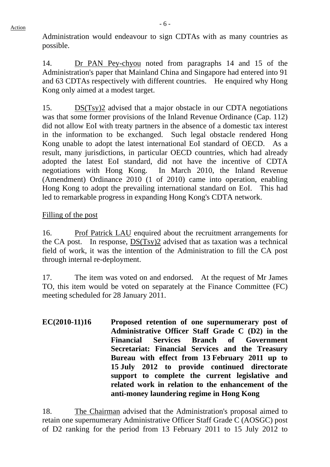Administration would endeavour to sign CDTAs with as many countries as possible.

14. Dr PAN Pey-chyou noted from paragraphs 14 and 15 of the Administration's paper that Mainland China and Singapore had entered into 91 and 63 CDTAs respectively with different countries. He enquired why Hong Kong only aimed at a modest target.

15. DS(Tsy)2 advised that a major obstacle in our CDTA negotiations was that some former provisions of the Inland Revenue Ordinance (Cap. 112) did not allow EoI with treaty partners in the absence of a domestic tax interest in the information to be exchanged. Such legal obstacle rendered Hong Kong unable to adopt the latest international EoI standard of OECD. As a result, many jurisdictions, in particular OECD countries, which had already adopted the latest EoI standard, did not have the incentive of CDTA negotiations with Hong Kong. In March 2010, the Inland Revenue (Amendment) Ordinance 2010 (1 of 2010) came into operation, enabling Hong Kong to adopt the prevailing international standard on EoI. This had led to remarkable progress in expanding Hong Kong's CDTA network.

# Filling of the post

16. Prof Patrick LAU enquired about the recruitment arrangements for the CA post. In response, DS(Tsy)2 advised that as taxation was a technical field of work, it was the intention of the Administration to fill the CA post through internal re-deployment.

17. The item was voted on and endorsed. At the request of Mr James TO, this item would be voted on separately at the Finance Committee (FC) meeting scheduled for 28 January 2011.

**EC(2010-11)16 Proposed retention of one supernumerary post of Administrative Officer Staff Grade C (D2) in the Financial Services Branch of Government Secretariat: Financial Services and the Treasury Bureau with effect from 13 February 2011 up to 15 July 2012 to provide continued directorate support to complete the current legislative and related work in relation to the enhancement of the anti-money laundering regime in Hong Kong** 

18. The Chairman advised that the Administration's proposal aimed to retain one supernumerary Administrative Officer Staff Grade C (AOSGC) post of D2 ranking for the period from 13 February 2011 to 15 July 2012 to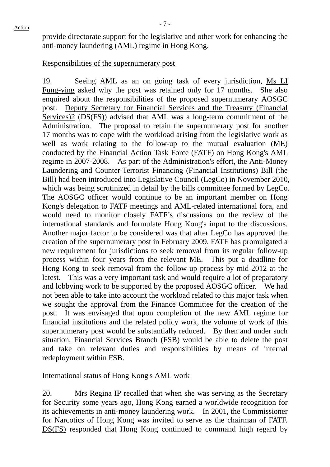provide directorate support for the legislative and other work for enhancing the anti-money laundering (AML) regime in Hong Kong.

# Responsibilities of the supernumerary post

19. Seeing AML as an on going task of every jurisdiction, Ms LI Fung-ying asked why the post was retained only for 17 months. She also enquired about the responsibilities of the proposed supernumerary AOSGC post. Deputy Secretary for Financial Services and the Treasury (Financial Services)2 (DS(FS)) advised that AML was a long-term commitment of the Administration. The proposal to retain the supernumerary post for another 17 months was to cope with the workload arising from the legislative work as well as work relating to the follow-up to the mutual evaluation (ME) conducted by the Financial Action Task Force (FATF) on Hong Kong's AML regime in 2007-2008. As part of the Administration's effort, the Anti-Money Laundering and Counter-Terrorist Financing (Financial Institutions) Bill (the Bill) had been introduced into Legislative Council (LegCo) in November 2010, which was being scrutinized in detail by the bills committee formed by LegCo. The AOSGC officer would continue to be an important member on Hong Kong's delegation to FATF meetings and AML-related international fora, and would need to monitor closely FATF's discussions on the review of the international standards and formulate Hong Kong's input to the discussions. Another major factor to be considered was that after LegCo has approved the creation of the supernumerary post in February 2009, FATF has promulgated a new requirement for jurisdictions to seek removal from its regular follow-up process within four years from the relevant ME. This put a deadline for Hong Kong to seek removal from the follow-up process by mid-2012 at the latest. This was a very important task and would require a lot of preparatory and lobbying work to be supported by the proposed AOSGC officer. We had not been able to take into account the workload related to this major task when we sought the approval from the Finance Committee for the creation of the post. It was envisaged that upon completion of the new AML regime for financial institutions and the related policy work, the volume of work of this supernumerary post would be substantially reduced. By then and under such situation, Financial Services Branch (FSB) would be able to delete the post and take on relevant duties and responsibilities by means of internal redeployment within FSB.

## International status of Hong Kong's AML work

20. Mrs Regina IP recalled that when she was serving as the Secretary for Security some years ago, Hong Kong earned a worldwide recognition for its achievements in anti-money laundering work. In 2001, the Commissioner for Narcotics of Hong Kong was invited to serve as the chairman of FATF. DS(FS) responded that Hong Kong continued to command high regard by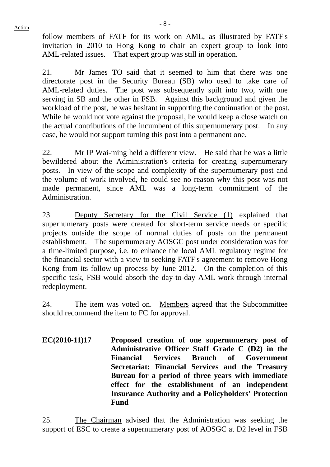follow members of FATF for its work on AML, as illustrated by FATF's invitation in 2010 to Hong Kong to chair an expert group to look into AML-related issues. That expert group was still in operation.

21. Mr James TO said that it seemed to him that there was one directorate post in the Security Bureau (SB) who used to take care of AML-related duties. The post was subsequently spilt into two, with one serving in SB and the other in FSB. Against this background and given the workload of the post, he was hesitant in supporting the continuation of the post. While he would not vote against the proposal, he would keep a close watch on the actual contributions of the incumbent of this supernumerary post. In any case, he would not support turning this post into a permanent one.

22. Mr IP Wai-ming held a different view. He said that he was a little bewildered about the Administration's criteria for creating supernumerary posts. In view of the scope and complexity of the supernumerary post and the volume of work involved, he could see no reason why this post was not made permanent, since AML was a long-term commitment of the Administration.

23. Deputy Secretary for the Civil Service (1) explained that supernumerary posts were created for short-term service needs or specific projects outside the scope of normal duties of posts on the permanent establishment. The supernumerary AOSGC post under consideration was for a time-limited purpose, i.e. to enhance the local AML regulatory regime for the financial sector with a view to seeking FATF's agreement to remove Hong Kong from its follow-up process by June 2012. On the completion of this specific task, FSB would absorb the day-to-day AML work through internal redeployment.

24. The item was voted on. Members agreed that the Subcommittee should recommend the item to FC for approval.

**EC(2010-11)17 Proposed creation of one supernumerary post of Administrative Officer Staff Grade C (D2) in the Financial Services Branch of Government Secretariat: Financial Services and the Treasury Bureau for a period of three years with immediate effect for the establishment of an independent Insurance Authority and a Policyholders' Protection Fund** 

25. The Chairman advised that the Administration was seeking the support of ESC to create a supernumerary post of AOSGC at D2 level in FSB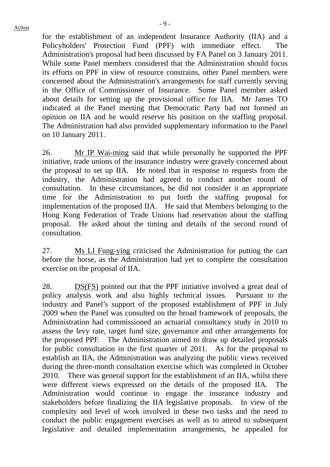for the establishment of an independent Insurance Authority (IIA) and a Policyholders' Protection Fund (PPF) with immediate effect. The Administration's proposal had been discussed by FA Panel on 3 January 2011. While some Panel members considered that the Administration should focus its efforts on PPF in view of resource constrains, other Panel members were concerned about the Administration's arrangements for staff currently serving in the Office of Commissioner of Insurance. Some Panel member asked about details for setting up the provisional office for IIA. Mr James TO indicated at the Panel meeting that Democratic Party had not formed an opinion on IIA and he would reserve his position on the staffing proposal. The Administration had also provided supplementary information to the Panel on 10 January 2011.

26. Mr IP Wai-ming said that while personally he supported the PPF initiative, trade unions of the insurance industry were gravely concerned about the proposal to set up IIA. He noted that in response to requests from the industry, the Administration had agreed to conduct another round of consultation. In these circumstances, he did not consider it an appropriate time for the Administration to put forth the staffing proposal for implementation of the proposed IIA. He said that Members belonging to the Hong Kong Federation of Trade Unions had reservation about the staffing proposal. He asked about the timing and details of the second round of consultation.

27. Ms LI Fung-ying criticised the Administration for putting the cart before the horse, as the Administration had yet to complete the consultation exercise on the proposal of IIA.

28. DS(FS) pointed out that the PPF initiative involved a great deal of policy analysis work and also highly technical issues. Pursuant to the industry and Panel's support of the proposed establishment of PPF in July 2009 when the Panel was consulted on the broad framework of proposals, the Administration had commissioned an actuarial consultancy study in 2010 to assess the levy rate, target fund size, governance and other arrangements for the proposed PPF. The Administration aimed to draw up detailed proposals for public consultation in the first quarter of 2011. As for the proposal to establish an IIA, the Administration was analyzing the public views received during the three-month consultation exercise which was completed in October 2010. There was general support for the establishment of an IIA, whilst there were different views expressed on the details of the proposed IIA. The Administration would continue to engage the insurance industry and stakeholders before finalizing the IIA legislative proposals. In view of the complexity and level of work involved in these two tasks and the need to conduct the public engagement exercises as well as to attend to subsequent legislative and detailed implementation arrangements, he appealed for